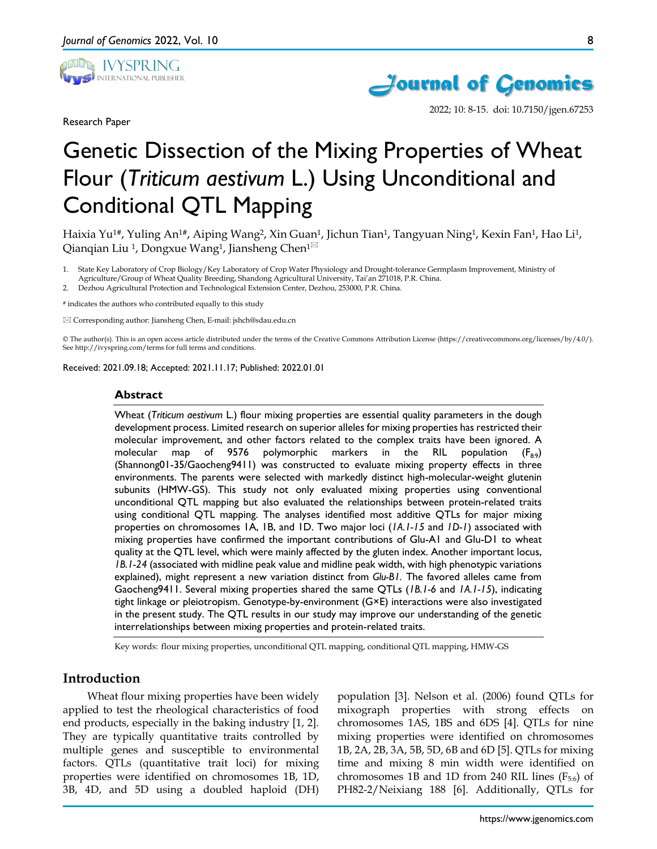

Research Paper

8



2022; 10: 8-15. doi: 10.7150/jgen.67253

# Genetic Dissection of the Mixing Properties of Wheat Flour (*Triticum aestivum* L.) Using Unconditional and Conditional QTL Mapping

Haixia Yu<sup>1#</sup>, Yuling An<sup>1#</sup>, Aiping Wang<sup>2</sup>, Xin Guan<sup>1</sup>, Jichun Tian<sup>1</sup>, Tangyuan Ning<sup>1</sup>, Kexin Fan<sup>1</sup>, Hao Li<sup>1</sup>, Qianqian Liu<sup>1</sup>, Dongxue Wang<sup>1</sup>, Jiansheng Chen<sup>1 $\boxtimes$ </sup>

1. State Key Laboratory of Crop Biology/Key Laboratory of Crop Water Physiology and Drought-tolerance Germplasm Improvement, Ministry of Agriculture/Group of Wheat Quality Breeding, Shandong Agricultural University, Tai'an 271018, P.R. China.

2. Dezhou Agricultural Protection and Technological Extension Center, Dezhou, 253000, P.R. China.

# indicates the authors who contributed equally to this study

Corresponding author: Jiansheng Chen, E-mail: jshch@sdau.edu.cn

© The author(s). This is an open access article distributed under the terms of the Creative Commons Attribution License (https://creativecommons.org/licenses/by/4.0/). See http://ivyspring.com/terms for full terms and conditions.

Received: 2021.09.18; Accepted: 2021.11.17; Published: 2022.01.01

#### **Abstract**

Wheat (*Triticum aestivum* L.) flour mixing properties are essential quality parameters in the dough development process. Limited research on superior alleles for mixing properties has restricted their molecular improvement, and other factors related to the complex traits have been ignored. A molecular map of 9576 polymorphic markers in the RIL population  $(F_{8,9})$ (Shannong01-35/Gaocheng9411) was constructed to evaluate mixing property effects in three environments. The parents were selected with markedly distinct high-molecular-weight glutenin subunits (HMW-GS). This study not only evaluated mixing properties using conventional unconditional QTL mapping but also evaluated the relationships between protein-related traits using conditional QTL mapping. The analyses identified most additive QTLs for major mixing properties on chromosomes 1A, 1B, and 1D. Two major loci (*1A.1-15* and *1D-1*) associated with mixing properties have confirmed the important contributions of Glu-A1 and Glu-D1 to wheat quality at the QTL level, which were mainly affected by the gluten index. Another important locus, *1B.1-24* (associated with midline peak value and midline peak width, with high phenotypic variations explained), might represent a new variation distinct from *Glu-B1.* The favored alleles came from Gaocheng9411. Several mixing properties shared the same QTLs (*1B.1-6* and *1A.1-15*), indicating tight linkage or pleiotropism. Genotype-by-environment (G×E) interactions were also investigated in the present study. The QTL results in our study may improve our understanding of the genetic interrelationships between mixing properties and protein-related traits.

Key words: flour mixing properties, unconditional QTL mapping, conditional QTL mapping, HMW-GS

## **Introduction**

Wheat flour mixing properties have been widely applied to test the rheological characteristics of food end products, especially in the baking industry [1, 2]. They are typically quantitative traits controlled by multiple genes and susceptible to environmental factors. QTLs (quantitative trait loci) for mixing properties were identified on chromosomes 1B, 1D, 3B, 4D, and 5D using a doubled haploid (DH) population [3]. Nelson et al. (2006) found QTLs for mixograph properties with strong effects on chromosomes 1AS, 1BS and 6DS [4]. QTLs for nine mixing properties were identified on chromosomes 1B, 2A, 2B, 3A, 5B, 5D, 6B and 6D [5]. QTLs for mixing time and mixing 8 min width were identified on chromosomes 1B and 1D from 240 RIL lines  $(F_{5:6})$  of PH82-2/Neixiang 188 [6]. Additionally, QTLs for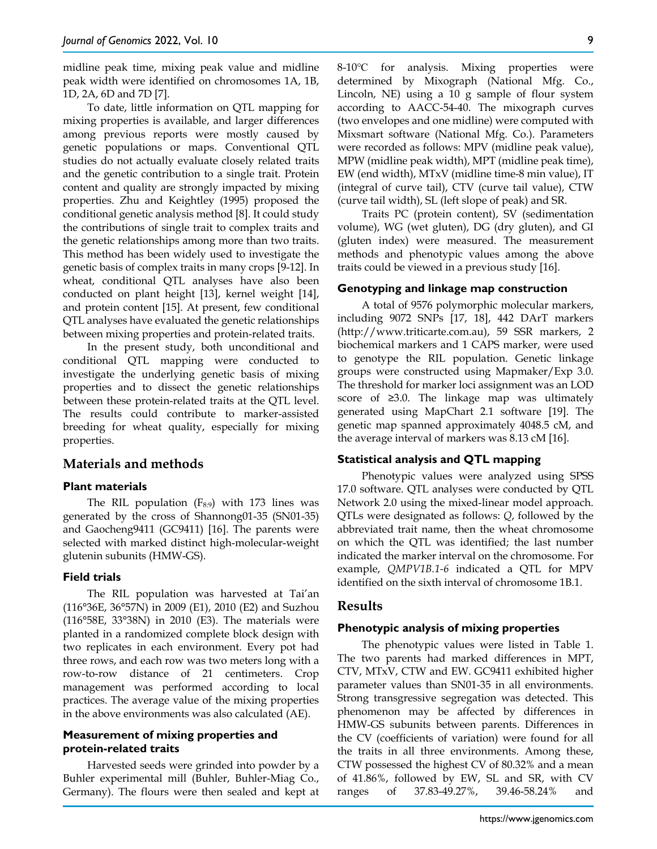midline peak time, mixing peak value and midline peak width were identified on chromosomes 1A, 1B, 1D, 2A, 6D and 7D [7].

To date, little information on QTL mapping for mixing properties is available, and larger differences among previous reports were mostly caused by genetic populations or maps. Conventional QTL studies do not actually evaluate closely related traits and the genetic contribution to a single trait. Protein content and quality are strongly impacted by mixing properties. Zhu and Keightley (1995) proposed the conditional genetic analysis method [8]. It could study the contributions of single trait to complex traits and the genetic relationships among more than two traits. This method has been widely used to investigate the genetic basis of complex traits in many crops [9-12]. In wheat, conditional QTL analyses have also been conducted on plant height [13], kernel weight [14], and protein content [15]. At present, few conditional QTL analyses have evaluated the genetic relationships between mixing properties and protein-related traits.

In the present study, both unconditional and conditional QTL mapping were conducted to investigate the underlying genetic basis of mixing properties and to dissect the genetic relationships between these protein-related traits at the QTL level. The results could contribute to marker-assisted breeding for wheat quality, especially for mixing properties.

## **Materials and methods**

#### **Plant materials**

The RIL population  $(F_{8:9})$  with 173 lines was generated by the cross of Shannong01-35 (SN01-35) and Gaocheng9411 (GC9411) [16]. The parents were selected with marked distinct high-molecular-weight glutenin subunits (HMW-GS).

#### **Field trials**

The RIL population was harvested at Tai'an (116°36E, 36°57N) in 2009 (E1), 2010 (E2) and Suzhou (116°58E, 33°38N) in 2010 (E3). The materials were planted in a randomized complete block design with two replicates in each environment. Every pot had three rows, and each row was two meters long with a row-to-row distance of 21 centimeters. Crop management was performed according to local practices. The average value of the mixing properties in the above environments was also calculated (AE).

## **Measurement of mixing properties and protein-related traits**

Harvested seeds were grinded into powder by a Buhler experimental mill (Buhler, Buhler-Miag Co., Germany). The flours were then sealed and kept at 8-10℃ for analysis. Mixing properties were determined by Mixograph (National Mfg. Co., Lincoln, NE) using a 10 g sample of flour system according to AACC-54-40. The mixograph curves (two envelopes and one midline) were computed with Mixsmart software (National Mfg. Co.). Parameters were recorded as follows: MPV (midline peak value), MPW (midline peak width), MPT (midline peak time), EW (end width), MTxV (midline time-8 min value), IT (integral of curve tail), CTV (curve tail value), CTW (curve tail width), SL (left slope of peak) and SR.

Traits PC (protein content), SV (sedimentation volume), WG (wet gluten), DG (dry gluten), and GI (gluten index) were measured. The measurement methods and phenotypic values among the above traits could be viewed in a previous study [16].

## **Genotyping and linkage map construction**

A total of 9576 polymorphic molecular markers, including 9072 SNPs [17, 18], 442 DArT markers (http://www.triticarte.com.au), 59 SSR markers, 2 biochemical markers and 1 CAPS marker, were used to genotype the RIL population. Genetic linkage groups were constructed using Mapmaker/Exp 3.0. The threshold for marker loci assignment was an LOD score of ≥3.0. The linkage map was ultimately generated using MapChart 2.1 software [19]. The genetic map spanned approximately 4048.5 cM, and the average interval of markers was 8.13 cM [16].

#### **Statistical analysis and QTL mapping**

Phenotypic values were analyzed using SPSS 17.0 software. QTL analyses were conducted by QTL Network 2.0 using the mixed-linear model approach. QTLs were designated as follows: *Q*, followed by the abbreviated trait name, then the wheat chromosome on which the QTL was identified; the last number indicated the marker interval on the chromosome. For example, *QMPV1B.1-6* indicated a QTL for MPV identified on the sixth interval of chromosome 1B.1.

#### **Results**

#### **Phenotypic analysis of mixing properties**

The phenotypic values were listed in Table 1. The two parents had marked differences in MPT, CTV, MTxV, CTW and EW. GC9411 exhibited higher parameter values than SN01-35 in all environments. Strong transgressive segregation was detected. This phenomenon may be affected by differences in HMW-GS subunits between parents. Differences in the CV (coefficients of variation) were found for all the traits in all three environments. Among these, CTW possessed the highest CV of 80.32% and a mean of 41.86%, followed by EW, SL and SR, with CV ranges of 37.83-49.27%, 39.46-58.24% and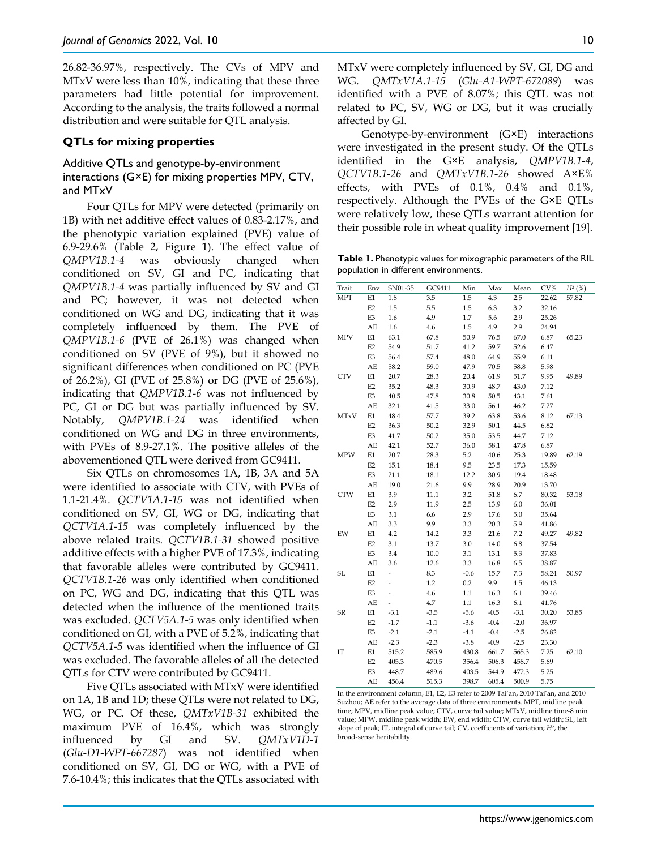26.82-36.97%, respectively. The CVs of MPV and MTxV were less than 10%, indicating that these three parameters had little potential for improvement. According to the analysis, the traits followed a normal distribution and were suitable for QTL analysis.

#### **QTLs for mixing properties**

## Additive QTLs and genotype-by-environment interactions (G×E) for mixing properties MPV, CTV, and MTxV

Four QTLs for MPV were detected (primarily on 1B) with net additive effect values of 0.83-2.17%, and the phenotypic variation explained (PVE) value of 6.9-29.6% (Table 2, Figure 1). The effect value of *QMPV1B.1-4* was obviously changed when conditioned on SV, GI and PC, indicating that *QMPV1B.1-4* was partially influenced by SV and GI and PC; however, it was not detected when conditioned on WG and DG, indicating that it was completely influenced by them. The PVE of *QMPV1B.1-6* (PVE of 26.1%) was changed when conditioned on SV (PVE of 9%), but it showed no significant differences when conditioned on PC (PVE of 26.2%), GI (PVE of 25.8%) or DG (PVE of 25.6%), indicating that *QMPV1B.1-6* was not influenced by PC, GI or DG but was partially influenced by SV. Notably, *QMPV1B.1-24* was identified when conditioned on WG and DG in three environments, with PVEs of 8.9-27.1%. The positive alleles of the abovementioned QTL were derived from GC9411.

Six QTLs on chromosomes 1A, 1B, 3A and 5A were identified to associate with CTV, with PVEs of 1.1-21.4%. *QCTV1A.1-15* was not identified when conditioned on SV, GI, WG or DG, indicating that *QCTV1A.1-15* was completely influenced by the above related traits. *QCTV1B.1-31* showed positive additive effects with a higher PVE of 17.3%, indicating that favorable alleles were contributed by GC9411. *QCTV1B.1-26* was only identified when conditioned on PC, WG and DG, indicating that this QTL was detected when the influence of the mentioned traits was excluded. *QCTV5A.1-5* was only identified when conditioned on GI, with a PVE of 5.2%, indicating that *QCTV5A.1-5* was identified when the influence of GI was excluded. The favorable alleles of all the detected QTLs for CTV were contributed by GC9411.

Five QTLs associated with MTxV were identified on 1A, 1B and 1D; these QTLs were not related to DG, WG, or PC*.* Of these, *QMTxV1B-31* exhibited the maximum PVE of 16.4%, which was strongly influenced by GI and SV. *QMTxV1D-1* (*Glu-D1-WPT-667287*) was not identified when conditioned on SV, GI, DG or WG, with a PVE of 7.6-10.4%; this indicates that the QTLs associated with

MTxV were completely influenced by SV, GI, DG and WG. *QMTxV1A.1-15* (*Glu-A1-WPT-672089*) was identified with a PVE of 8.07%; this QTL was not related to PC, SV, WG or DG, but it was crucially affected by GI.

Genotype-by-environment (G×E) interactions were investigated in the present study. Of the QTLs identified in the G×E analysis, *QMPV1B.1-4*, *QCTV1B.1-26* and *QMTxV1B.1-26* showed A×E% effects, with PVEs of 0.1%, 0.4% and 0.1%, respectively. Although the PVEs of the G×E QTLs were relatively low, these QTLs warrant attention for their possible role in wheat quality improvement [19].

**Table 1.** Phenotypic values for mixographic parameters of the RIL population in different environments.

| Trait      | Env            | SN01-35                  | GC9411 | Min     | Max    | Mean   | $\rm{CV}\%$ | $H^2({\%})$ |
|------------|----------------|--------------------------|--------|---------|--------|--------|-------------|-------------|
| MPT        | E1             | 1.8                      | 3.5    | 1.5     | 4.3    | 2.5    | 22.62       | 57.82       |
|            | E2             | $1.5\,$                  | 5.5    | $1.5\,$ | 6.3    | 3.2    | 32.16       |             |
|            | E3             | 1.6                      | 4.9    | 1.7     | 5.6    | 2.9    | 25.26       |             |
|            | AE             | 1.6                      | 4.6    | 1.5     | 4.9    | 2.9    | 24.94       |             |
| MPV        | $\rm E1$       | 63.1                     | 67.8   | 50.9    | 76.5   | 67.0   | 6.87        | 65.23       |
|            | E <sub>2</sub> | 54.9                     | 51.7   | 41.2    | 59.7   | 52.6   | 6.47        |             |
|            | E3             | 56.4                     | 57.4   | 48.0    | 64.9   | 55.9   | 6.11        |             |
|            | AE             | 58.2                     | 59.0   | 47.9    | 70.5   | 58.8   | 5.98        |             |
| <b>CTV</b> | E1             | 20.7                     | 28.3   | 20.4    | 61.9   | 51.7   | 9.95        | 49.89       |
|            | E2             | 35.2                     | 48.3   | 30.9    | 48.7   | 43.0   | 7.12        |             |
|            | E3             | 40.5                     | 47.8   | 30.8    | 50.5   | 43.1   | 7.61        |             |
|            | AE             | 32.1                     | 41.5   | 33.0    | 56.1   | 46.2   | 7.27        |             |
| MTxV       | $\rm E1$       | 48.4                     | 57.7   | 39.2    | 63.8   | 53.6   | 8.12        | 67.13       |
|            | E2             | 36.3                     | 50.2   | 32.9    | 50.1   | 44.5   | 6.82        |             |
|            | E3             | 41.7                     | 50.2   | 35.0    | 53.5   | 44.7   | 7.12        |             |
|            | AE             | 42.1                     | 52.7   | 36.0    | 58.1   | 47.8   | 6.87        |             |
| <b>MPW</b> | $\rm E1$       | 20.7                     | 28.3   | 5.2     | 40.6   | 25.3   | 19.89       | 62.19       |
|            | E2             | 15.1                     | 18.4   | 9.5     | 23.5   | 17.3   | 15.59       |             |
|            | E3             | 21.1                     | 18.1   | 12.2    | 30.9   | 19.4   | 18.48       |             |
|            | AE             | 19.0                     | 21.6   | 9.9     | 28.9   | 20.9   | 13.70       |             |
| CTW        | E1             | 3.9                      | 11.1   | 3.2     | 51.8   | 6.7    | 80.32       | 53.18       |
|            | E2             | 2.9                      | 11.9   | 2.5     | 13.9   | 6.0    | 36.01       |             |
|            | E3             | 3.1                      | 6.6    | 2.9     | 17.6   | 5.0    | 35.64       |             |
|            | AE             | 3.3                      | 9.9    | 3.3     | 20.3   | 5.9    | 41.86       |             |
| EW         | $\rm E1$       | 4.2                      | 14.2   | 3.3     | 21.6   | 7.2    | 49.27       | 49.82       |
|            | E2             | 3.1                      | 13.7   | $3.0\,$ | 14.0   | 6.8    | 37.54       |             |
|            | E3             | 3.4                      | 10.0   | 3.1     | 13.1   | 5.3    | 37.83       |             |
|            | AE             | 3.6                      | 12.6   | 3.3     | 16.8   | 6.5    | 38.87       |             |
| SL         | E1             | $\overline{a}$           | 8.3    | $-0.6$  | 15.7   | 7.3    | 58.24       | 50.97       |
|            | E2             | L                        | 1.2    | 0.2     | 9.9    | 4.5    | 46.13       |             |
|            | E3             | $\overline{\phantom{0}}$ | 4.6    | $1.1\,$ | 16.3   | 6.1    | 39.46       |             |
|            | AE             | ÷,                       | 4.7    | $1.1\,$ | 16.3   | 6.1    | 41.76       |             |
| ${\sf SR}$ | $\rm E1$       | $-3.1$                   | $-3.5$ | $-5.6$  | $-0.5$ | $-3.1$ | 30.20       | 53.85       |
|            | E2             | $-1.7$                   | $-1.1$ | $-3.6$  | $-0.4$ | $-2.0$ | 36.97       |             |
|            | E3             | $-2.1$                   | $-2.1$ | $-4.1$  | $-0.4$ | $-2.5$ | 26.82       |             |
|            | AE             | $-2.3$                   | $-2.3$ | $-3.8$  | $-0.9$ | $-2.5$ | 23.30       |             |
| ΙТ         | E1             | 515.2                    | 585.9  | 430.8   | 661.7  | 565.3  | 7.25        | 62.10       |
|            | E2             | 405.3                    | 470.5  | 356.4   | 506.3  | 458.7  | 5.69        |             |
|            | E3             | 448.7                    | 489.6  | 403.5   | 544.9  | 472.3  | 5.25        |             |
|            | AE             | 456.4                    | 515.3  | 398.7   | 605.4  | 500.9  | 5.75        |             |

In the environment column, E1, E2, E3 refer to 2009 Tai'an, 2010 Tai'an, and 2010 Suzhou; AE refer to the average data of three environments. MPT, midline peak time; MPV, midline peak value; CTV, curve tail value; MTxV, midline time-8 min value; MPW, midline peak width; EW, end width; CTW, curve tail width; SL, left slope of peak; IT, integral of curve tail; CV, coefficients of variation; *H2*, the broad-sense heritability.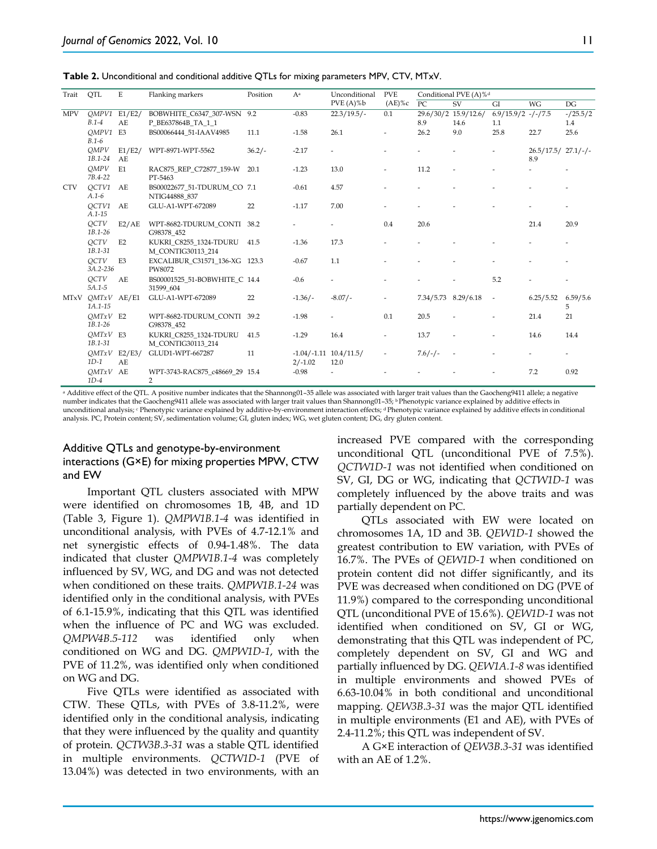**Table 2.** Unconditional and conditional additive QTLs for mixing parameters MPV, CTV, MTxV.

| Trait                  | QTL                          | E              | Flanking markers                                 | Position | Aa        | Unconditional<br>$PVE(A)\%b$       | <b>PVE</b><br>$(AE)$ %c  | Conditional PVE (A)% <sup>d</sup> |                          |                          |                            |               |
|------------------------|------------------------------|----------------|--------------------------------------------------|----------|-----------|------------------------------------|--------------------------|-----------------------------------|--------------------------|--------------------------|----------------------------|---------------|
|                        |                              |                |                                                  |          |           |                                    |                          | PC                                | SV                       | GI                       | <b>WG</b>                  | DG            |
| <b>MPV</b>             | $OMPV1$ E1/E2/               |                | BOBWHITE C6347 307-WSN 9.2                       |          | $-0.83$   | $22.3/19.5/-$                      | 0.1                      |                                   | 29.6/30/2 15.9/12.6/     | $6.9/15.9/2$ -/-/7.5     |                            | $-/25.5/2$    |
|                        | $B.1-4$                      | AE             | P BE637864B_TA_1_1                               |          |           |                                    |                          | 8.9                               | 14.6                     | 1.1                      |                            | 1.4           |
|                        | OMPV1 E3<br>$B.1-6$          |                | BS00066444 51-IAAV4985                           | 11.1     | $-1.58$   | 26.1                               | ٠                        | 26.2                              | 9.0                      | 25.8                     | 22.7                       | 25.6          |
|                        | OMPV<br>1B.1-24              | E1/E2/<br>AE   | WPT-8971-WPT-5562                                | $36.2/-$ | $-2.17$   | ٠                                  |                          |                                   |                          |                          | $26.5/17.5/27.1/-/$<br>8.9 |               |
|                        | OMPV<br>7B.4-22              | E1             | RAC875 REP C72877 159-W<br>PT-5463               | 20.1     | $-1.23$   | 13.0                               | $\overline{a}$           | 11.2                              |                          |                          |                            |               |
| <b>CTV</b>             | OCTV1<br>$A.1 - 6$           | AE             | BS00022677_51-TDURUM_CO 7.1<br>NTIG44888 837     |          | $-0.61$   | 4.57                               |                          |                                   |                          |                          |                            |               |
|                        | OCTV1<br>$A.1 - 15$          | AE             | GLU-A1-WPT-672089                                | 22       | $-1.17$   | 7.00                               |                          |                                   |                          |                          |                            |               |
|                        | <b>OCTV</b><br>$1B.1 - 26$   | E2/AE          | WPT-8682-TDURUM CONTI<br>G98378 452              | 38.2     |           |                                    | 0.4                      | 20.6                              |                          |                          | 21.4                       | 20.9          |
|                        | OCTV<br>$1B.1 - 31$          | E2             | KUKRI C8255 1324-TDURU<br>M CONTIG30113 214      | 41.5     | $-1.36$   | 17.3                               |                          |                                   |                          |                          |                            |               |
|                        | OCTV<br>3A.2-236             | E <sub>3</sub> | EXCALIBUR_C31571_136-XG 123.3<br>PW8072          |          | $-0.67$   | 1.1                                |                          |                                   |                          |                          |                            |               |
|                        | OCTV<br>$5A.1 - 5$           | AE             | BS00001525 51-BOBWHITE C 14.4<br>31599 604       |          | $-0.6$    | ٠                                  |                          |                                   |                          | 5.2                      |                            |               |
| <b>MT<sub>x</sub>V</b> | $QMTxV$ AE/E1<br>$1A.1 - 15$ |                | GLU-A1-WPT-672089                                | 22       | $-1.36/-$ | $-8.07/-$                          |                          | 7.34/5.73 8.29/6.18               |                          | $\overline{\phantom{a}}$ | 6.25/5.52                  | 6.59/5.6<br>5 |
|                        | $OMTxV$ E2<br>$1B.1 - 26$    |                | WPT-8682-TDURUM_CONTI<br>G98378 452              | 39.2     | $-1.98$   |                                    | 0.1                      | 20.5                              |                          |                          | 21.4                       | 21            |
|                        | $OMTxV$ E3<br>1B.1-31        |                | KUKRI C8255 1324-TDURU<br>M CONTIG30113 214      | 41.5     | $-1.29$   | 16.4                               | $\overline{\phantom{a}}$ | 13.7                              | ä,                       | ٠                        | 14.6                       | 14.4          |
|                        | $QMTxV$ E2/E3/<br>$1D-1$     | AE             | GLUD1-WPT-667287                                 | 11       | $2/-1.02$ | $-1.04/-1.11$ $10.4/11.5/$<br>12.0 | $\overline{\phantom{a}}$ | $7.6/-/$                          | $\overline{\phantom{a}}$ |                          |                            |               |
|                        | $QMTxV$ AE<br>$1D-4$         |                | WPT-3743-RAC875 c48669 29 15.4<br>$\overline{2}$ |          | $-0.98$   |                                    |                          |                                   |                          |                          | 7.2                        | 0.92          |

<sup>a</sup> Additive effect of the QTL. A positive number indicates that the Shannong01–35 allele was associated with larger trait values than the Gaocheng9411 allele; a negative number indicates that the Gaocheng9411 allele was associated with larger trait values than Shannong01-35; <sup>b</sup> Phenotypic variance explained by additive effects in unconditional analysis; <sup>c</sup> Phenotypic variance explained by additive-by-environment interaction effects; <sup>d</sup> Phenotypic variance explained by additive effects in conditional analysis. PC, Protein content; SV, sedimentation volume; GI, gluten index; WG, wet gluten content; DG, dry gluten content.

#### Additive QTLs and genotype-by-environment interactions (G×E) for mixing properties MPW, CTW and EW

Important QTL clusters associated with MPW were identified on chromosomes 1B, 4B, and 1D (Table 3, Figure 1). *QMPW1B.1-4* was identified in unconditional analysis, with PVEs of 4.7-12.1% and net synergistic effects of 0.94-1.48%. The data indicated that cluster *QMPW1B.1-4* was completely influenced by SV, WG, and DG and was not detected when conditioned on these traits. *QMPW1B.1-24* was identified only in the conditional analysis, with PVEs of 6.1-15.9%, indicating that this QTL was identified when the influence of PC and WG was excluded. *QMPW4B.5-112* was identified only when conditioned on WG and DG. *QMPW1D-1*, with the PVE of 11.2%, was identified only when conditioned on WG and DG.

Five QTLs were identified as associated with CTW. These QTLs, with PVEs of 3.8-11.2%, were identified only in the conditional analysis, indicating that they were influenced by the quality and quantity of protein. *QCTW3B.3-31* was a stable QTL identified in multiple environments. *QCTW1D-1* (PVE of 13.04%) was detected in two environments, with an increased PVE compared with the corresponding unconditional QTL (unconditional PVE of 7.5%). *QCTW1D-1* was not identified when conditioned on SV, GI, DG or WG, indicating that *QCTW1D-1* was completely influenced by the above traits and was partially dependent on PC.

QTLs associated with EW were located on chromosomes 1A, 1D and 3B. *QEW1D-1* showed the greatest contribution to EW variation, with PVEs of 16.7%. The PVEs of *QEW1D-1* when conditioned on protein content did not differ significantly, and its PVE was decreased when conditioned on DG (PVE of 11.9%) compared to the corresponding unconditional QTL (unconditional PVE of 15.6%). *QEW1D-1* was not identified when conditioned on SV, GI or WG, demonstrating that this QTL was independent of PC, completely dependent on SV, GI and WG and partially influenced by DG. *QEW1A.1-8* was identified in multiple environments and showed PVEs of 6.63-10.04% in both conditional and unconditional mapping*. QEW3B.3-31* was the major QTL identified in multiple environments (E1 and AE), with PVEs of 2.4-11.2%; this QTL was independent of SV.

A G×E interaction of *QEW3B.3-31* was identified with an AE of 1.2%.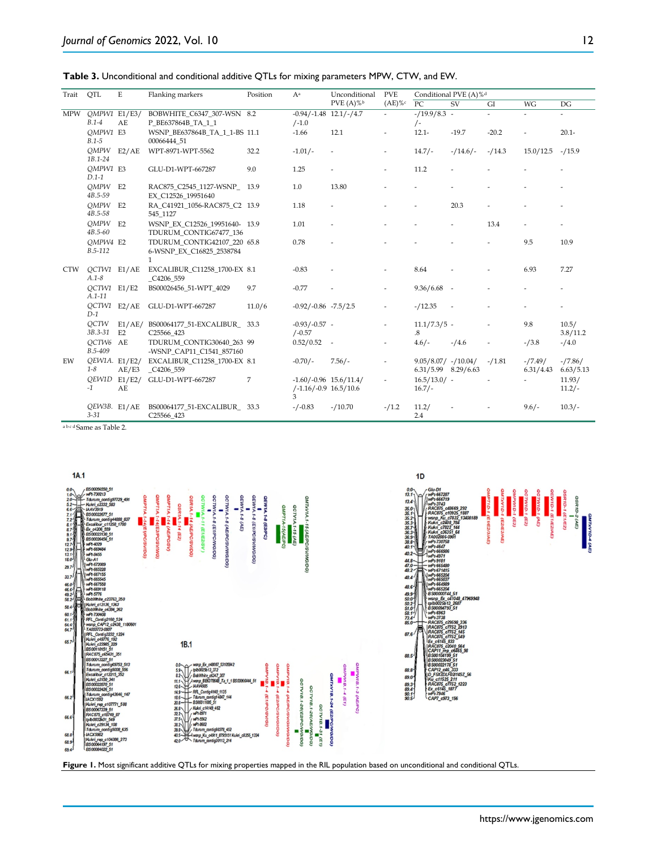**Table 3.** Unconditional and conditional additive QTLs for mixing parameters MPW, CTW, and EW.

| Trait      | QTL                        | E                    | Flanking markers                                                        | Position | Aa                                                          | Unconditional<br>PVE $(A) \%$ | <b>PVE</b><br>$(AE) \%$ c | Conditional PVE (A)% <sup>d</sup>           |           |          |                          |                          |  |
|------------|----------------------------|----------------------|-------------------------------------------------------------------------|----------|-------------------------------------------------------------|-------------------------------|---------------------------|---------------------------------------------|-----------|----------|--------------------------|--------------------------|--|
|            |                            |                      |                                                                         |          |                                                             |                               |                           | PC                                          | SV        | GI       | WG                       | DG                       |  |
| <b>MPW</b> | OMPW1 E1/E3/<br>$B.1-4$    | AF                   | BOBWHITE C6347 307-WSN 8.2<br>P BE637864B TA 1 1                        |          | $-0.94/-1.48$ 12.1/-/4.7<br>$/ -1.0$                        |                               | $\overline{\phantom{a}}$  | $- / 19.9 / 8.3 -$<br>$/$ -                 |           |          | $\overline{\phantom{0}}$ | $\overline{\phantom{a}}$ |  |
|            | OMPW1 E3<br>$B.1 - 5$      |                      | WSNP BE637864B TA 1 1-BS 11.1<br>00066444 51                            |          | $-1.66$                                                     | 12.1                          | $\overline{\phantom{a}}$  | $12.1 -$                                    | $-19.7$   | $-20.2$  | ÷                        | $20.1 -$                 |  |
|            | <b>OMPW</b><br>$1B.1 - 24$ | E2/AE                | WPT-8971-WPT-5562                                                       | 32.2     | $-1.01/-$                                                   | $\overline{\phantom{a}}$      | $\overline{\phantom{a}}$  | $14.7/-$                                    | $-14.6/-$ | $-14.3$  | 15.0/12.5                | $-/15.9$                 |  |
|            | OMPW1 E3<br>$D.1-1$        |                      | GLU-D1-WPT-667287                                                       | 9.0      | 1.25                                                        |                               | ÷                         | 11.2                                        |           |          |                          |                          |  |
|            | $QMPW$ E2<br>4B.5-59       |                      | RAC875 C2545 1127-WSNP 13.9<br>EX C12526 19951640                       |          | 1.0                                                         | 13.80                         |                           |                                             |           |          |                          |                          |  |
|            | OMPW<br>4B.5-58            | E2                   | RA C41921 1056-RAC875 C2 13.9<br>545 1127                               |          | 1.18                                                        |                               |                           |                                             | 20.3      |          |                          |                          |  |
|            | OMPW<br>$4B.5 - 60$        | E2                   | WSNP EX C12526 19951640- 13.9<br>TDURUM CONTIG67477 136                 |          | 1.01                                                        |                               |                           |                                             |           | 13.4     |                          |                          |  |
|            | OMPW4 E2<br>$B.5-112$      |                      | TDURUM CONTIG42107 220 65.8<br>6-WSNP EX C16825 2538784<br>$\mathbf{1}$ |          | 0.78                                                        |                               |                           |                                             |           |          | 9.5                      | 10.9                     |  |
| <b>CTW</b> | OCTW1 E1/AE<br>$A.1 - 8$   |                      | EXCALIBUR_C11258_1700-EX 8.1<br>C4206 559                               |          | $-0.83$                                                     |                               | ٠                         | 8.64                                        |           |          | 6.93                     | 7.27                     |  |
|            | OCTW1 E1/E2<br>$A.1 - 11$  |                      | BS00026456 51-WPT 4029                                                  | 9.7      | $-0.77$                                                     |                               | $\overline{\phantom{a}}$  | $9.36/6.68 -$                               |           |          |                          |                          |  |
|            | $D-1$                      | $QCTW1$ E2/AE        | GLU-D1-WPT-667287                                                       | 11.0/6   | $-0.92/-0.86$ $-7.5/2.5$                                    |                               | $\overline{\phantom{a}}$  | $-/12.35$                                   |           |          |                          |                          |  |
|            | QCTW<br>3B.3-31            | E1/AE/<br>E2         | BS00064177 51-EXCALIBUR 33.3<br>C25566 423                              |          | $-0.93/-0.57 -$<br>$/ -0.57$                                |                               | $\overline{\phantom{a}}$  | $11.1/7.3/5$ -<br>.8                        |           |          | 9.8                      | 10.5/<br>3.8/11.2        |  |
|            | OCTW6<br>B.5-409           | AE                   | TDURUM CONTIG30640 263 99<br>-WSNP CAP11 C1541 857160                   |          | $0.52/0.52 -$                                               |                               | $\overline{\phantom{a}}$  | $4.6/-$                                     | $-/4.6$   | ٠        | $-13.8$                  | $-74.0$                  |  |
| EW         | OEW1A. E1/E2/<br>$1 - 8$   | AE/E3                | EXCALIBUR C11258 1700-EX 8.1<br>C4206 559                               |          | $-0.70/-$                                                   | $7.56/-$                      | ÷,                        | $9.05/8.07/ -10.04/$<br>6.31/5.99 8.29/6.63 |           | $-/1.81$ | $-7.49/$<br>6.31/4.43    | $-/7.86/$<br>6.63/5.13   |  |
|            | $-1$                       | $QEW1D$ E1/E2/<br>AE | GLU-D1-WPT-667287                                                       | 7        | $-1.60/-0.96$ 15.6/11.4/<br>$/ -1.16 / -0.9$ 16.5/10.6<br>3 |                               |                           | $16.5/13.0/$ -<br>$16.7/-$                  |           |          |                          | 11.93/<br>$11.2/-$       |  |
|            | OEW3B. E1/AE<br>$3 - 31$   |                      | BS00064177 51-EXCALIBUR 33.3<br>C25566 423                              |          | $-/-0.83$                                                   | $-/10.70$                     | $-1.2$                    | 11.2/<br>2.4                                |           |          | $9.6/-$                  | $10.3/-$                 |  |

<sup>a</sup> <sup>b</sup> <sup>c</sup> <sup>d</sup> Same as Table 2.



**Figure 1.** Most significant additive QTLs for mixing properties mapped in the RIL population based on unconditional and conditional QTLs.

https://www.jgenomics.com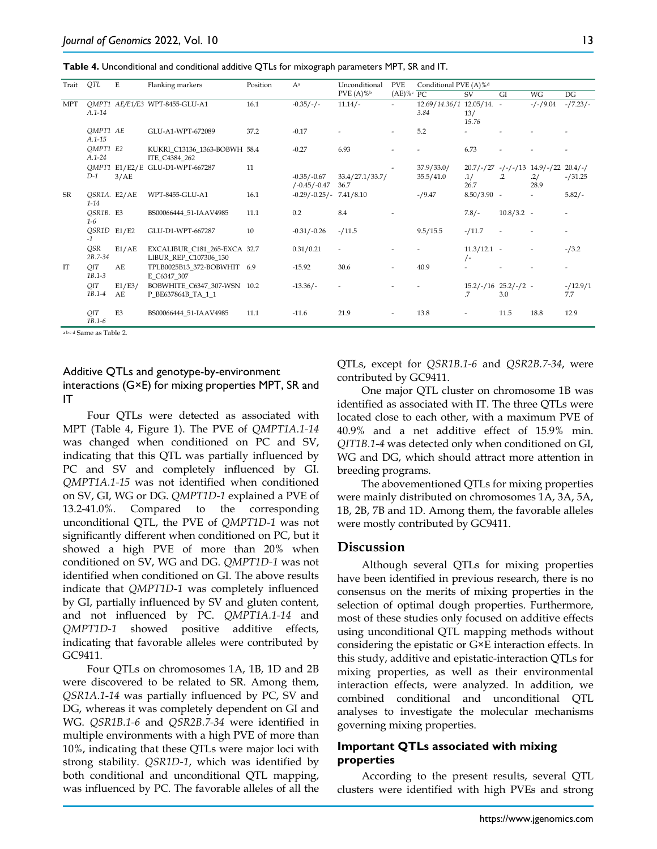| Trait      | QTL                      | Ε              | Flanking markers                                      | Position | Aa                                 | Unconditional            | <b>PVE</b>               | Conditional PVE (A)% <sup>d</sup> |                                |                          |                                               |                        |  |
|------------|--------------------------|----------------|-------------------------------------------------------|----------|------------------------------------|--------------------------|--------------------------|-----------------------------------|--------------------------------|--------------------------|-----------------------------------------------|------------------------|--|
|            |                          |                |                                                       |          |                                    | $PVE(A) \%$              | $(AE)$ % $c$ PC          |                                   | SV                             | GI                       | <b>WG</b>                                     | DG                     |  |
| <b>MPT</b> | $A.1 - 14$               |                | OMPT1 AE/E1/E3 WPT-8455-GLU-A1                        | 16.1     | $-0.35/-/ -$                       | $11.14/-$                | $\overline{\phantom{a}}$ | 12.69/14.36/1 12.05/14. -<br>3.84 | 13/<br>15.76                   |                          | $-/-/9.04$                                    | $-/7.23/-$             |  |
|            | OMPT1 AE<br>$A.1 - 15$   |                | GLU-A1-WPT-672089                                     | 37.2     | $-0.17$                            |                          | $\overline{\phantom{a}}$ | 5.2                               |                                |                          |                                               |                        |  |
|            | OMPT1 E2<br>$A.1 - 24$   |                | KUKRI C13136 1363-BOBWH 58.4<br>ITE C4384 262         |          | $-0.27$                            | 6.93                     |                          |                                   | 6.73                           |                          |                                               |                        |  |
|            | $D-1$                    | 3/AE           | QMPT1 E1/E2/E GLU-D1-WPT-667287                       | 11       | $-0.35/-0.67$<br>$/ -0.45 / -0.47$ | 33.4/27.1/33.7/<br>36.7  |                          | 37.9/33.0/<br>35.5/41.0           | .1/<br>26.7                    | $\cdot$ .2               | $20.7/-/27$ -/-/-/13 14.9/-/22<br>.2/<br>28.9 | $20.4/-/$<br>$-/31.25$ |  |
| SR         | QSR1A. E2/AE<br>$1 - 14$ |                | WPT-8455-GLU-A1                                       | 16.1     | $-0.29/-0.25/-7.41/8.10$           |                          |                          | $-19.47$                          | $8.50/3.90 -$                  |                          | $\overline{\phantom{a}}$                      | $5.82/-$               |  |
|            | QSR1B. E3<br>$1 - 6$     |                | BS00066444 51-IAAV4985                                | 11.1     | 0.2                                | 8.4                      | ٠                        |                                   | $7.8/-$                        | $10.8/3.2$ -             |                                               |                        |  |
|            | QSR1D E1/E2<br>$-1$      |                | GLU-D1-WPT-667287                                     | 10       | $-0.31/-0.26$                      | $-/11.5$                 |                          | 9.5/15.5                          | $-/11.7$                       | $\overline{\phantom{a}}$ |                                               |                        |  |
|            | QSR<br>$2B.7 - 34$       | E1/AE          | EXCALIBUR_C181_265-EXCA 32.7<br>LIBUR_REP_C107306_130 |          | 0.31/0.21                          | $\overline{a}$           |                          |                                   | $11.3/12.1$ -<br>$/$ -         |                          | $\overline{\phantom{a}}$                      | $-13.2$                |  |
| IT         | QIT<br>$1B.1 - 3$        | AE.            | TPLB0025B13 372-BOBWHIT 6.9<br>E C6347 307            |          | $-15.92$                           | 30.6                     |                          | 40.9                              |                                |                          |                                               |                        |  |
|            | QIT<br>$1B.1 - 4$        | E1/E3/<br>AE   | BOBWHITE C6347 307-WSN 10.2<br>P_BE637864B_TA_1_1     |          | $-13.36/-$                         | $\overline{\phantom{a}}$ |                          |                                   | $15.2/-/16$ $25.2/-/2$ -<br>.7 | 3.0                      |                                               | $-12.9/1$<br>7.7       |  |
|            | QIT<br>$1B.1 - 6$        | E <sub>3</sub> | BS00066444 51-IAAV4985                                | 11.1     | $-11.6$                            | 21.9                     | $\overline{\phantom{a}}$ | 13.8                              |                                | 11.5                     | 18.8                                          | 12.9                   |  |

a b c d Same as Table 2.

#### Additive QTLs and genotype-by-environment interactions (G×E) for mixing properties MPT, SR and IT

Four QTLs were detected as associated with MPT (Table 4, Figure 1). The PVE of *QMPT1A.1-14* was changed when conditioned on PC and SV, indicating that this QTL was partially influenced by PC and SV and completely influenced by GI. *QMPT1A.1-15* was not identified when conditioned on SV, GI, WG or DG. *QMPT1D-1* explained a PVE of 13.2-41.0%. Compared to the corresponding unconditional QTL, the PVE of *QMPT1D-1* was not significantly different when conditioned on PC, but it showed a high PVE of more than 20% when conditioned on SV, WG and DG. *QMPT1D-1* was not identified when conditioned on GI. The above results indicate that *QMPT1D-1* was completely influenced by GI, partially influenced by SV and gluten content, and not influenced by PC. *QMPT1A.1-14* and *QMPT1D-1* showed positive additive effects, indicating that favorable alleles were contributed by GC9411.

Four QTLs on chromosomes 1A, 1B, 1D and 2B were discovered to be related to SR. Among them, *QSR1A.1-14* was partially influenced by PC, SV and DG, whereas it was completely dependent on GI and WG. *QSR1B.1-6* and *QSR2B.7-34* were identified in multiple environments with a high PVE of more than 10%, indicating that these QTLs were major loci with strong stability. *QSR1D-1*, which was identified by both conditional and unconditional QTL mapping, was influenced by PC. The favorable alleles of all the QTLs, except for *QSR1B.1-6* and *QSR2B.7-34*, were contributed by GC9411.

One major QTL cluster on chromosome 1B was identified as associated with IT. The three QTLs were located close to each other, with a maximum PVE of 40.9% and a net additive effect of 15.9% min. *QIT1B.1-4* was detected only when conditioned on GI, WG and DG, which should attract more attention in breeding programs.

The abovementioned QTLs for mixing properties were mainly distributed on chromosomes 1A, 3A, 5A, 1B, 2B, 7B and 1D. Among them, the favorable alleles were mostly contributed by GC9411.

#### **Discussion**

Although several QTLs for mixing properties have been identified in previous research, there is no consensus on the merits of mixing properties in the selection of optimal dough properties. Furthermore, most of these studies only focused on additive effects using unconditional QTL mapping methods without considering the epistatic or G×E interaction effects. In this study, additive and epistatic-interaction QTLs for mixing properties, as well as their environmental interaction effects, were analyzed. In addition, we combined conditional and unconditional QTL analyses to investigate the molecular mechanisms governing mixing properties.

#### **Important QTLs associated with mixing properties**

According to the present results, several QTL clusters were identified with high PVEs and strong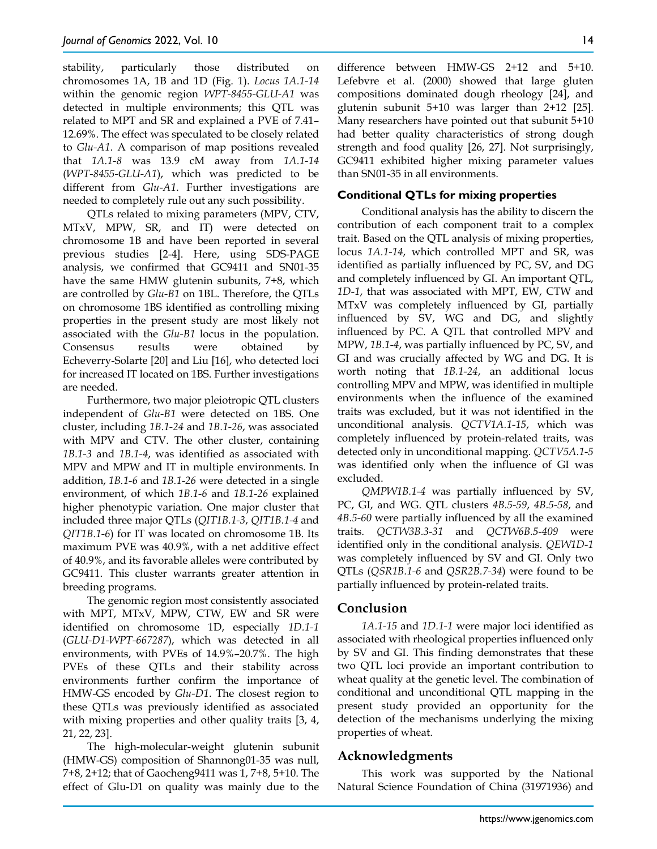stability, particularly those distributed on chromosomes 1A, 1B and 1D (Fig. 1). *Locus 1A.1-14* within the genomic region *WPT-8455-GLU-A1* was detected in multiple environments; this QTL was related to MPT and SR and explained a PVE of 7.41– 12.69%. The effect was speculated to be closely related to *Glu-A1*. A comparison of map positions revealed that *1A.1-8* was 13.9 cM away from *1A.1-14* (*WPT-8455-GLU-A1*), which was predicted to be different from *Glu-A1*. Further investigations are needed to completely rule out any such possibility.

QTLs related to mixing parameters (MPV, CTV, MTxV, MPW, SR, and IT) were detected on chromosome 1B and have been reported in several previous studies [2-4]. Here, using SDS-PAGE analysis, we confirmed that GC9411 and SN01-35 have the same HMW glutenin subunits, 7+8, which are controlled by *Glu-B1* on 1BL. Therefore, the QTLs on chromosome 1BS identified as controlling mixing properties in the present study are most likely not associated with the *Glu-B1* locus in the population. Consensus results were obtained by Echeverry-Solarte [20] and Liu [16], who detected loci for increased IT located on 1BS. Further investigations are needed.

Furthermore, two major pleiotropic QTL clusters independent of *Glu-B1* were detected on 1BS. One cluster, including *1B.1-24* and *1B.1-26*, was associated with MPV and CTV. The other cluster, containing *1B.1-3* and *1B.1-4*, was identified as associated with MPV and MPW and IT in multiple environments*.* In addition, *1B.1-6* and *1B.1-26* were detected in a single environment, of which *1B.1-6* and *1B.1-26* explained higher phenotypic variation. One major cluster that included three major QTLs (*QIT1B.1-3*, *QIT1B.1-4* and *QIT1B.1-6*) for IT was located on chromosome 1B. Its maximum PVE was 40.9%, with a net additive effect of 40.9%, and its favorable alleles were contributed by GC9411. This cluster warrants greater attention in breeding programs.

The genomic region most consistently associated with MPT, MTxV, MPW, CTW, EW and SR were identified on chromosome 1D, especially *1D.1-1* (*GLU-D1-WPT-667287*), which was detected in all environments, with PVEs of 14.9%–20.7%. The high PVEs of these QTLs and their stability across environments further confirm the importance of HMW-GS encoded by *Glu-D1*. The closest region to these QTLs was previously identified as associated with mixing properties and other quality traits [3, 4, 21, 22, 23].

The high-molecular-weight glutenin subunit (HMW-GS) composition of Shannong01-35 was null, 7+8, 2+12; that of Gaocheng9411 was 1, 7+8, 5+10. The effect of Glu-D1 on quality was mainly due to the

difference between HMW-GS 2+12 and 5+10. Lefebvre et al. (2000) showed that large gluten compositions dominated dough rheology [24], and glutenin subunit 5+10 was larger than 2+12 [25]. Many researchers have pointed out that subunit 5+10 had better quality characteristics of strong dough strength and food quality [26, 27]. Not surprisingly, GC9411 exhibited higher mixing parameter values than SN01-35 in all environments.

#### **Conditional QTLs for mixing properties**

Conditional analysis has the ability to discern the contribution of each component trait to a complex trait. Based on the QTL analysis of mixing properties, locus *1A.1-14*, which controlled MPT and SR, was identified as partially influenced by PC, SV, and DG and completely influenced by GI. An important QTL, *1D-1*, that was associated with MPT, EW, CTW and MTxV was completely influenced by GI, partially influenced by SV, WG and DG, and slightly influenced by PC. A QTL that controlled MPV and MPW, *1B.1-4*, was partially influenced by PC, SV, and GI and was crucially affected by WG and DG. It is worth noting that *1B.1-24*, an additional locus controlling MPV and MPW, was identified in multiple environments when the influence of the examined traits was excluded, but it was not identified in the unconditional analysis. *QCTV1A.1-15*, which was completely influenced by protein-related traits, was detected only in unconditional mapping. *QCTV5A.1-5* was identified only when the influence of GI was excluded.

*QMPW1B.1-4* was partially influenced by SV, PC, GI, and WG. QTL clusters *4B.5-59*, *4B.5-58*, and *4B.5-60* were partially influenced by all the examined traits. *QCTW3B.3-31* and *QCTW6B.5-409* were identified only in the conditional analysis. *QEW1D-1* was completely influenced by SV and GI. Only two QTLs (*QSR1B.1-6* and *QSR2B.7-34*) were found to be partially influenced by protein-related traits.

# **Conclusion**

*1A.1-15* and *1D.1-1* were major loci identified as associated with rheological properties influenced only by SV and GI. This finding demonstrates that these two QTL loci provide an important contribution to wheat quality at the genetic level. The combination of conditional and unconditional QTL mapping in the present study provided an opportunity for the detection of the mechanisms underlying the mixing properties of wheat.

# **Acknowledgments**

This work was supported by the National Natural Science Foundation of China (31971936) and